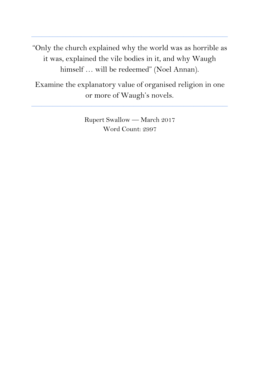"Only the church explained why the world was as horrible as it was, explained the vile bodies in it, and why Waugh himself … will be redeemed" (Noel Annan).

**\_\_\_\_\_\_\_\_\_\_\_\_\_\_\_\_\_\_\_\_\_\_\_\_\_\_\_\_\_\_\_\_\_\_\_\_\_\_\_\_\_\_\_\_\_\_\_\_\_\_\_\_\_\_\_\_\_\_\_\_\_\_\_\_\_\_\_\_\_\_\_\_\_\_\_**

Examine the explanatory value of organised religion in one or more of Waugh's novels.

**\_\_\_\_\_\_\_\_\_\_\_\_\_\_\_\_\_\_\_\_\_\_\_\_\_\_\_\_\_\_\_\_\_\_\_\_\_\_\_\_\_\_\_\_\_\_\_\_\_\_\_\_\_\_\_\_\_\_\_\_\_\_\_\_\_\_\_\_\_\_\_\_\_\_\_**

Rupert Swallow — March 2017 Word Count: 2997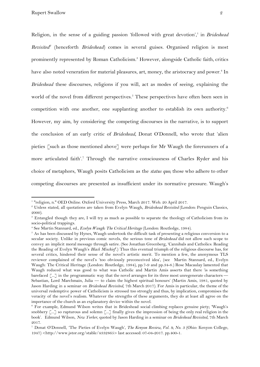Religion, in the sense of a guiding passion 'followed with great devotion',<sup>1</sup> in *Brideshead Revisited<sup>2</sup>* (henceforth *Brideshead*) comes in several guises. Organised religion is most prominently represented by Roman Catholicism.<sup>3</sup> However, alongside Catholic faith, critics have also noted veneration for material pleasures, art, money, the aristocracy and power.<sup>4</sup> In *Brideshead* these discourses, religions if you will, act as modes of seeing, explaining the world of the novel from different perspectives.<sup>5</sup> These perspectives have often been seen in competition with one another, one supplanting another to establish its own authority.<sup>6</sup> However, my aim, by considering the competing discourses in the narrative, is to support the conclusion of an early critic of *Brideshead*, Donat O'Donnell, who wrote that 'alien pieties [such as those mentioned above] were perhaps for Mr Waugh the forerunners of a more articulated faith'.<sup>7</sup> Through the narrative consciousness of Charles Ryder and his choice of metaphors, Waugh posits Catholicism as the *status quo*; those who adhere to other competing discourses are presented as insufficient under its normative pressure. Waugh's

<sup>1</sup> "religion, n." OED Online. Oxford University Press, March 2017. Web. 20 April 2017.

<sup>2</sup> Unless stated, all quotations are taken from Evelyn Waugh, *Brideshead Revisited* (London: Penguin Classics, 2000).

<sup>3</sup> Entangled though they are, I will try as much as possible to separate the theology of Catholicism from its socio-political trappings.

<sup>4</sup> See Martin Stannard, ed., *Evelyn Waugh: The Critical Heritage* (London: Routledge, 1984).

<sup>&</sup>lt;sup>5</sup> As has been discussed by Hynes, Waugh undertook the difficult task of presenting a religious conversion to a secular society. Unlike in previous comic novels, the serious tone of *Brideshead* did not allow such scope to convey an implicit moral message through satire. (See Jonathan Greenberg, 'Cannibals and Catholics: Reading the Reading of Evelyn Waugh's *Black Mischief*'.) Thus this eventual triumph of the religious discourse has, for several critics, hindered their sense of the novel's artistic merit. To mention a few, the anonymous TLS reviewer complained of the novel's 'too obviously preconceived idea', (see Martin Stannard, ed., Evelyn Waugh: The Critical Heritage (London: Routledge, 1984), pp.7-9 and pp.34-8.) Rose Macaulay lamented that Waugh reduced what was good to what was Catholic and Martin Amis asserts that there 'is something barefaced [...] in the programmatic way that the novel arranges for its three most unregenerate characters — Sebastian, Lord Marchmain, Julia — to claim the highest spiritual honours' (Martin Amis, 1981, quoted by Jason Harding in a seminar on *Brideshead Revisited*, 7th March 2017). For Amis in particular, the theme of the universal redemptive power of Catholicism is stressed too strongly and thus, by implication, compromises the veracity of the novel's realism. Whatever the strengths of these arguments, they do at least all agree on the importance of the church as an explanatory device within the novel.

<sup>6</sup> For example, Edmund Wilson writes that in Brideshead social climbing replaces genuine piety; 'Waugh's snobbery [...] so rapturous and solemn [...] finally gives the impression of being the only real religion in the book'. Edmund Wilson, *New Yorker*, quoted by Jason Harding in a seminar on *Brideshead Revisited*, 7th March 2017.

<sup>7</sup> Donat O'Donnell, 'The Pieties of Evelyn Waugh', *The Kenyon Review, Vol. 9, No. 3* (Ohio: Kenyon College, 1947) <http://www.jstor.org/stable/4332865> last accessed: 07-04-2017. pp.400-1.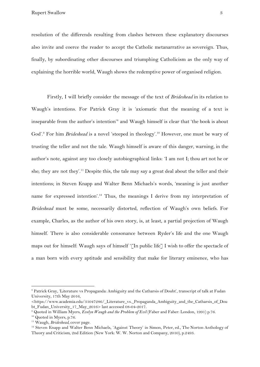Rupert Swallow 3

resolution of the differends resulting from clashes between these explanatory discourses also invite and coerce the reader to accept the Catholic metanarrative as sovereign. Thus, finally, by subordinating other discourses and triumphing Catholicism as the only way of explaining the horrible world, Waugh shows the redemptive power of organised religion.

Firstly, I will briefly consider the message of the text of *Brideshead* in its relation to Waugh's intentions. For Patrick Gray it is 'axiomatic that the meaning of a text is inseparable from the author's intention'<sup>8</sup> and Waugh himself is clear that 'the book is about God'.<sup>9</sup> For him *Brideshead* is a novel 'steeped in theology'.<sup>10</sup> However, one must be wary of trusting the teller and not the tale. Waugh himself is aware of this danger, warning, in the author's note, against any too closely autobiographical links: 'I am not I; thou art not he or she; they are not they'.<sup>11</sup> Despite this, the tale may say a great deal about the teller and their intentions; in Steven Knapp and Walter Benn Michaels's words, 'meaning is just another name for expressed intention'.<sup>12</sup> Thus, the meanings I derive from my interpretation of *Brideshead* must be some, necessarily distorted, reflection of Waugh's own beliefs. For example, Charles, as the author of his own story, is, at least, a partial projection of Waugh himself. There is also considerable consonance between Ryder's life and the one Waugh maps out for himself: Waugh says of himself '[In public life] I wish to offer the spectacle of a man born with every aptitude and sensibility that make for literary eminence, who has

<sup>8</sup> Patrick Gray, 'Literature vs Propaganda: Ambiguity and the Catharsis of Doubt', transcript of talk at Fudan University, 17th May 2016,

<sup>&</sup>lt;https://www.academia.edu/31047286/\_Literature\_vs.\_Propaganda\_Ambiguity\_and\_the\_Catharsis\_of\_Dou bt\_Fudan\_University\_17\_May\_2016> last accessed 08-04-2017.

<sup>9</sup> Quoted in William Myers, *Evelyn Waugh and the Problem of Evil* (Faber and Faber: London, 1991) p.76.

<sup>&</sup>lt;sup>10</sup> Quoted in Myers, p.76.

<sup>11</sup> Waugh, *Brideshead,* cover page.

<sup>&</sup>lt;sup>12</sup> Steven Knapp and Walter Benn Michaels, 'Against Theory' in Simon, Peter, ed., The Norton Anthology of Theory and Criticism, 2nd Edition (New York: W. W. Norton and Company, 2010), p.2493.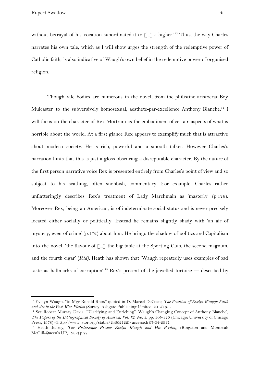Rupert Swallow 4

without betrayal of his vocation subordinated it to  $\lbrack ... \rbrack$  a higher.'<sup>13</sup> Thus, the way Charles narrates his own tale, which as I will show urges the strength of the redemptive power of Catholic faith, is also indicative of Waugh's own belief in the redemptive power of organised religion.

Though vile bodies are numerous in the novel, from the philistine aristocrat Boy Mulcaster to the subversively homosexual, aesthete-par-excellence Anthony Blanche,<sup>14</sup> I will focus on the character of Rex Mottram as the embodiment of certain aspects of what is horrible about the world. At a first glance Rex appears to exemplify much that is attractive about modern society. He is rich, powerful and a smooth talker. However Charles's narration hints that this is just a gloss obscuring a disreputable character. By the nature of the first person narrative voice Rex is presented entirely from Charles's point of view and so subject to his scathing, often snobbish, commentary. For example, Charles rather unflatteringly describes Rex's treatment of Lady Marchmain as 'masterly' (p.179). Moreover Rex, being an American, is of indeterminate social status and is never precisely located either socially or politically. Instead he remains slightly shady with 'an air of mystery, even of crime' (p.172) about him. He brings the shadow of politics and Capitalism into the novel, 'the flavour of [...] the big table at the Sporting Club, the second magnum, and the fourth cigar' (*Ibid).* Heath has shown that 'Waugh repeatedly uses examples of bad taste as hallmarks of corruption'.<sup>15</sup> Rex's present of the jewelled tortoise — described by

<sup>13</sup> Evelyn Waugh, "to Mgr Ronald Knox" quoted in D. Marcel DeCoste, *The Vocation of Evelyn Waugh: Faith and Art in the Post-War Fiction* (Surrey: Ashgate Publishing Limited, 2015) p.1.

<sup>14</sup> See Robert Murray Davis, '"Clarifying and Enriching": Waugh's Changing Concept of Anthony Blanche', *The Papers of the Bibliographical Society of America, Vol. 72, No. 3,* pp. 305-320 (Chicago: University of Chicago Press, 1978) <http://www.jstor.org/stable/24302122> accessed: 07-04-2017.

<sup>15</sup> Heath Jeffrey, *The Picturesque Prison: Evelyn Waugh and His Writing* (Kingston and Montreal: McGill-Queen's UP, 1982) p.77.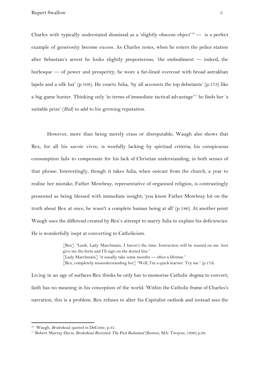Rupert Swallow 5

Charles with typically understated dismissal as a 'slightly obscene object'<sup>16</sup> — is a perfect example of generosity become excess. As Charles notes, when he enters the police station after Sebastian's arrest he looks slightly preposterous, 'the embodiment — indeed, the burlesque — of power and prosperity; he wore a fur-lined overcoat with broad astrakhan lapels and a silk hat' (p.108). He courts Julia, 'by all accounts the top debutante' (p.173) like a big game hunter. Thinking only 'in terms of immediate tactical advantage'<sup>17</sup> he finds her 'a suitable prize' (*Ibid*) to add to his growing reputation.

However, more than being merely crass or disreputable, Waugh also shows that Rex, for all his savoir vivre, is woefully lacking by spiritual criteria; his conspicuous consumption fails to compensate for his lack of Christian understanding, in both senses of that phrase. Interestingly, though it takes Julia, when outcast from the church, a year to realise her mistake, Father Mowbray, representative of organised religion, is contrastingly presented as being blessed with immediate insight; 'you know Father Mowbray hit on the truth about Rex at once, he wasn't a complete human being at all' (p.186). At another point Waugh uses the differend created by Rex's attempt to marry Julia to explain his deficiencies. He is wonderfully inept at converting to Catholicism.

> [Rex] "Look, Lady Marchmain, I haven't the time. Instruction will be wasted on me. Just give me the form and I'll sign on the dotted line." [Lady Marchmain] "it usually take some months — often a lifetime." [Rex, completely misunderstanding her] "Well, I'm a quick learner. Try me." (p.179)

Living in an age of surfaces Rex thinks he only has to memorise Catholic dogma to convert; faith has no meaning in his conception of the world. Within the Catholic frame of Charles's narration, this is a problem*.* Rex refuses to alter his Capitalist outlook and instead sees the

<sup>&</sup>lt;sup>16</sup> Waugh, *Brideshead*, quoted in DeCoste, p.35.

<sup>17</sup> Robert Murray Davis, *Brideshead Revisited: The Past Redeemed* (Boston, MA: Twayne, 1990) p.99.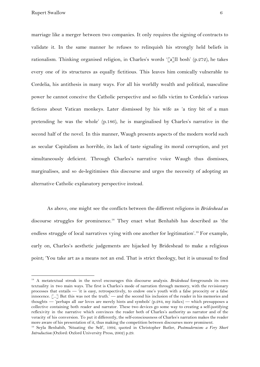marriage like a merger between two companies. It only requires the signing of contracts to validate it. In the same manner he refuses to relinquish his strongly held beliefs in rationalism. Thinking organised religion, in Charles's words '[a]ll bosh' (p.272), he takes every one of its structures as equally fictitious. This leaves him comically vulnerable to Cordelia, his antithesis in many ways. For all his worldly wealth and political, masculine power he cannot conceive the Catholic perspective and so falls victim to Cordelia's various fictions about Vatican monkeys. Later dismissed by his wife as 'a tiny bit of a man pretending he was the whole' (p.186), he is marginalised by Charles's narrative in the second half of the novel. In this manner, Waugh presents aspects of the modern world such as secular Capitalism as horrible, its lack of taste signaling its moral corruption, and yet simultaneously deficient. Through Charles's narrative voice Waugh thus dismisses, marginalises, and so de-legitimises this discourse and urges the necessity of adopting an alternative Catholic explanatory perspective instead.

As above, one might see the conflicts between the different religions in *Brideshead* as discourse struggles for prominence.<sup>18</sup> They enact what Benhabib has described as 'the endless struggle of local narratives vying with one another for legitimation'.<sup>19</sup> For example, early on, Charles's aesthetic judgements are hijacked by Brideshead to make a religious point; 'You take art as a means not an end. That is strict theology, but it is unusual to find

<sup>18</sup> A metatextual streak in the novel encourages this discourse analysis. *Brideshead* foregrounds its own textuality in two main ways. The first is Charles's mode of narration through memory, with the revisionary processes that entails — 'it is easy, retrospectively, to endow one's youth with a false precocity or a false innocence. [...] But this was not the truth.' — and the second his inclusion of the reader in his memories and thoughts — 'perhaps all *our* loves are merely hints and symbols' (p.284, my italics) — which presupposes a collective containing both reader and narrator. These two devices go some way to creating a self-justifying reflexivity in the narrative which convinces the reader both of Charles's authority as narrator and of the veracity of his conversion. To put it differently, the self-consciousness of Charles's narration makes the reader more aware of his presentation of it, thus making the competition between discourses more prominent.

<sup>19</sup> Seyla Benhabib, 'Situating the Self', 1992, quoted in Christopher Butler, *Postmodernism: a Very Short Introduction* (Oxford: Oxford University Press, 2002) p.29.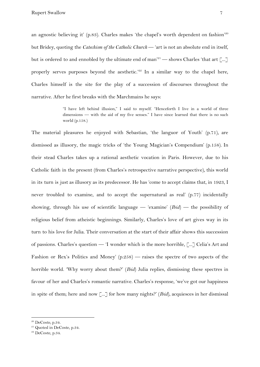an agnostic believing it' (p.83). Charles makes 'the chapel's worth dependent on fashion'<sup>20</sup> but Bridey, quoting the *Catechism of the Catholic Church* — 'art is not an absolute end in itself, but is ordered to and ennobled by the ultimate end of man'<sup>21</sup> — shows Charles 'that art [...] properly serves purposes beyond the aesthetic.<sup>222</sup> In a similar way to the chapel here, Charles himself is the site for the play of a succession of discourses throughout the narrative. After he first breaks with the Marchmains he says:

> "I have left behind illusion," I said to myself. "Henceforth I live in a world of three dimensions — with the aid of my five senses." I have since learned that there is no such world (p.158.)

The material pleasures he enjoyed with Sebastian, 'the languor of Youth' (p.71), are dismissed as illusory, the magic tricks of 'the Young Magician's Compendium' (p.158). In their stead Charles takes up a rational aesthetic vocation in Paris. However, due to his Catholic faith in the present (from Charles's retrospective narrative perspective), this world in its turn is just as illusory as its predecessor. He has 'come to accept claims that, in 1923, I never troubled to examine, and to accept the supernatural as real' (p.77) incidentally showing, through his use of scientific language — 'examine' (*Ibid*) — the possibility of religious belief from atheistic beginnings. Similarly, Charles's love of art gives way in its turn to his love for Julia. Their conversation at the start of their affair shows this succession of passions. Charles's question — 'I wonder which is the more horrible, [...] Celia's Art and Fashion or Rex's Politics and Money' (p.258) — raises the spectre of two aspects of the horrible world. 'Why worry about them?' (*Ibid*) Julia replies, dismissing these spectres in favour of her and Charles's romantic narrative. Charles's response, 'we've got our happiness in spite of them; here and now [...] for how many nights?' (*Ibid*), acquiesces in her dismissal

<sup>20</sup> DeCoste*,* p.34.

<sup>&</sup>lt;sup>21</sup> Quoted in DeCoste, p.34.

 $22$  DeCoste, p.34.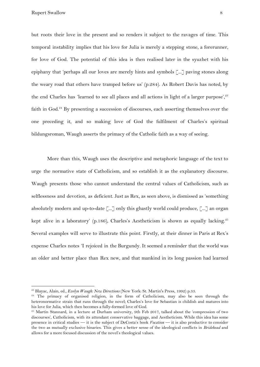but roots their love in the present and so renders it subject to the ravages of time. This temporal instability implies that his love for Julia is merely a stepping stone, a forerunner, for love of God. The potential of this idea is then realised later in the syuzhet with his epiphany that 'perhaps all our loves are merely hints and symbols [...] paving stones along the weary road that others have tramped before us' (p.284). As Robert Davis has noted, by the end Charles has 'learned to see all places and all actions in light of a larger purpose', $23$ faith in God.<sup>24</sup> By presenting a succession of discourses, each asserting themselves over the one preceding it, and so making love of God the fulfilment of Charles's spiritual bildungsroman, Waugh asserts the primacy of the Catholic faith as a way of seeing.

More than this, Waugh uses the descriptive and metaphoric language of the text to urge the normative state of Catholicism, and so establish it as the explanatory discourse. Waugh presents those who cannot understand the central values of Catholicism, such as selflessness and devotion, as deficient. Just as Rex, as seen above, is dismissed as 'something absolutely modern and up-to-date [...] only this ghastly world could produce, [...] an organ kept alive in a laboratory' (p.186), Charles's Aestheticism is shown as equally lacking.<sup>25</sup> Several examples will serve to illustrate this point. Firstly, at their dinner in Paris at Rex's expense Charles notes 'I rejoiced in the Burgundy. It seemed a reminder that the world was an older and better place than Rex new, and that mankind in its long passion had learned

<sup>23</sup> Blayac, Alain, ed., *Evelyn Waugh: New Directions* (New York: St. Martin's Press, 1992) p.33.

<sup>&</sup>lt;sup>24</sup> The primacy of organised religion, in the form of Catholicism, may also be seen through the heteronormative strain that runs through the novel; Charles's love for Sebastian is childish and matures into his love for Julia, which then becomes a fully-formed love of God.

<sup>&</sup>lt;sup>25</sup> Martin Stannard, in a lecture at Durham university, 9th Feb 2017, talked about the 'compression of two discourses', Catholicism, with its attendant conservative baggage, and Aestheticism. While this idea has some presence in critical studies — it is the subject of DeCosta's book *Vocation* — it is also productive to consider the two as mutually exclusive binaries. This gives a better sense of the ideological conflicts in *Bridehead* and allows for a more focused discussion of the novel's theological values.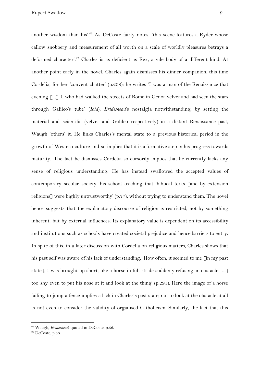another wisdom than his'.<sup>26</sup> As DeCoste fairly notes, 'this scene features a Ryder whose callow snobbery and measurement of all worth on a scale of worldly pleasures betrays a deformed character'.<sup>27</sup> Charles is as deficient as Rex, a vile body of a different kind. At another point early in the novel, Charles again dismisses his dinner companion, this time Cordelia, for her 'convent chatter' (p.208); he writes 'I was a man of the Renaissance that evening  $\lceil ... \rceil$  I, who had walked the streets of Rome in Genoa velvet and had seen the stars through Galileo's tube' (*Ibid*). *Brideshead*'s nostalgia notwithstanding, by setting the material and scientific (velvet and Galileo respectively) in a distant Renaissance past, Waugh 'others' it. He links Charles's mental state to a previous historical period in the growth of Western culture and so implies that it is a formative step in his progress towards maturity. The fact he dismisses Cordelia so cursorily implies that he currently lacks any sense of religious understanding. He has instead swallowed the accepted values of contemporary secular society, his school teaching that 'biblical texts [and by extension religions] were highly untrustworthy' (p.77), without trying to understand them. The novel hence suggests that the explanatory discourse of religion is restricted, not by something inherent, but by external influences. Its explanatory value is dependent on its accessibility and institutions such as schools have created societal prejudice and hence barriers to entry. In spite of this, in a later discussion with Cordelia on religious matters, Charles shows that his past self was aware of his lack of understanding; 'How often, it seemed to me [in my past state], I was brought up short, like a horse in full stride suddenly refusing an obstacle [...] too shy even to put his nose at it and look at the thing' (p.291). Here the image of a horse failing to jump a fence implies a lack in Charles's past state; not to look at the obstacle at all is not even to consider the validity of organised Catholicism. Similarly, the fact that this

<sup>26</sup> Waugh, *Brideshead*, quoted in DeCoste, p.36.

 $27$  DeCoste, p.36.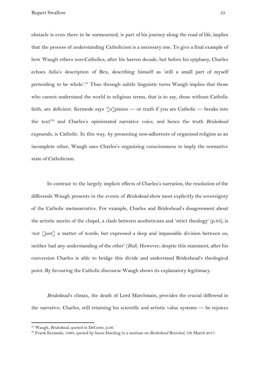obstacle is even there to be surmounted, is part of his journey along the road of life, implies that the process of understanding Catholicism is a necessary one. To give a final example of how Waugh others non-Catholics, after his barren decade, but before his epiphany, Charles echoes Julia's description of Rex, describing himself as 'still a small part of myself pretending to be whole'.<sup>28</sup> Thus through subtle linguistic turns Waugh implies that those who cannot understand the world in religious terms, that is to say, those without Catholic faith, are deficient. Kermode says '[o]pinion — or truth if you are Catholic — breaks into the text<sup>29</sup> and Charles's opinionated narrative voice, and hence the truth *Brideshead* expounds, is Catholic. In this way, by presenting non-adherents of organised religion as an incomplete other, Waugh uses Charles's organising consciousness to imply the normative state of Catholicism.

In contrast to the largely implicit effects of Charles's narration, the resolution of the differends Waugh presents in the events of *Brideshead* show most explicitly the sovereignty of the Catholic metanarrative. For example, Charles and Brideshead's disagreement about the artistic merits of the chapel, a clash between aestheticism and 'strict theology' (p.83), is 'not [just] a matter of words, but expressed a deep and impassable division between us; neither had any understanding of the other' (*Ibid*). However, despite this statement, after his conversion Charles is able to bridge this divide and understand Brideshead's theological point. By favouring the Catholic discourse Waugh shows its explanatory legitimacy.

*Brideshead*'s climax, the death of Lord Marchmain, provides the crucial differend in the narrative. Charles, still retaining his scientific and artistic value systems — he rejoices

<sup>28</sup> Waugh, *Brideshead*, quoted in DeCoste, p.36.

<sup>29</sup> Frank Kermode, 1960, quoted by Jason Harding in a seminar on *Brideshead Revisited*, 7th March 2017.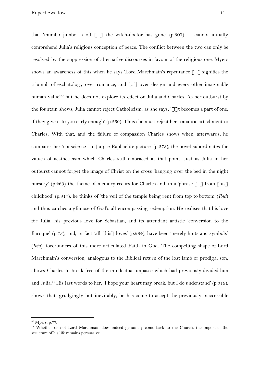that 'mumbo jumbo is off  $\left[\dots\right]$  the witch-doctor has gone' (p.307) — cannot initially comprehend Julia's religious conception of peace. The conflict between the two can only be resolved by the suppression of alternative discourses in favour of the religious one. Myers shows an awareness of this when he says 'Lord Marchmain's repentance [...] signifies the triumph of eschatology over romance, and [...] over design and every other imaginable human value<sup>30</sup> but he does not explore its effect on Julia and Charles. As her outburst by the fountain shows, Julia cannot reject Catholicism; as she says, '[i]t becomes a part of one, if they give it to you early enough' (p.269). Thus she must reject her romantic attachment to Charles. With that, and the failure of compassion Charles shows when, afterwards, he compares her 'conscience [to] a pre-Raphaelite picture' (p.273), the novel subordinates the values of aestheticism which Charles still embraced at that point. Just as Julia in her outburst cannot forget the image of Christ on the cross 'hanging over the bed in the night nursery' (p.269) the theme of memory recurs for Charles and, in a 'phrase  $\lceil ... \rceil$  from  $\lceil$ his $\rceil$ childhood' (p.317), he thinks of 'the veil of the temple being rent from top to bottom' (*Ibid*) and thus catches a glimpse of God's all-encompassing redemption. He realises that his love for Julia, his previous love for Sebastian, and its attendant artistic 'conversion to the Baroque' (p.73), and, in fact 'all [his] loves' (p.284), have been 'merely hints and symbols' (*Ibid*), forerunners of this more articulated Faith in God. The compelling shape of Lord Marchmain's conversion, analogous to the Biblical return of the lost lamb or prodigal son, allows Charles to break free of the intellectual impasse which had previously divided him and Julia.<sup>31</sup> His last words to her, 'I hope your heart may break, but I do understand' (p.319), shows that, grudgingly but inevitably, he has come to accept the previously inaccessible

 $30$  Myers, p.77.

<sup>&</sup>lt;sup>31</sup> Whether or not Lord Marchmain does indeed genuinely come back to the Church, the import of the structure of his life remains persuasive.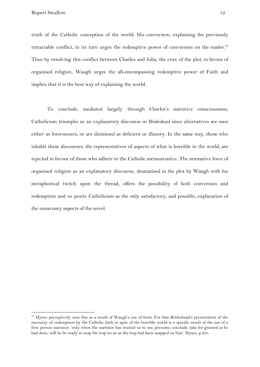truth of the Catholic conception of the world. His conversion, explaining the previously intractable conflict, in its turn urges the redemptive power of conversion on the reader. $32$ Thus by resolving this conflict between Charles and Julia, the crux of the plot, in favour of organised religion, Waugh urges the all-encompassing redemptive power of Faith and implies that it is the best way of explaining the world.

To conclude, mediated largely through Charles's narrative consciousness, Catholicism triumphs as an explanatory discourse in *Brideshead* since alternatives are seen either as forerunners, or are dismissed as deficient or illusory. In the same way, those who inhabit these discourses, the representatives of aspects of what is horrible in the world, are rejected in favour of those who adhere to the Catholic metanarrative. The normative force of organised religion as an explanatory discourse, dramatised in the plot by Waugh with his metaphorical twitch upon the thread, offers the possibility of both conversion and redemption and so posits Catholicism as the only satisfactory, and possible, explanation of the unsavoury aspects of the novel.

 $32$  Hynes perceptively sees this as a result of Waugh's use of form. For him Brideshead's presentation of the necessity of redemption by the Catholic faith in spite of the horrible world is a specific result of the use of a first person narrator; 'only when the narrator has trained us to see, presume, conclude, take for granted as he had done, will he be ready to snap his trap on us as the trap had been snapped on him'. Hynes, p.235.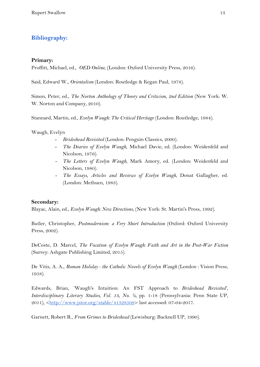## **Bibliography:**

## **Primary:**

Proffitt, Michael, ed., *OED Online*, (London: Oxford University Press, 2016).

Said, Edward W., *Orientalism* (London: Routledge & Kegan Paul, 1978).

Simon, Peter, ed., *The Norton Anthology of Theory and Criticism*, *2nd Edition* (New York: W. W. Norton and Company, 2010).

Stannard, Martin, ed., *Evelyn Waugh: The Critical Heritage* (London: Routledge, 1984).

Waugh, Evelyn

- *Brideshead Revisited* (London: Penguin Classics, 2000).
- *The Diaries of Evelyn Waugh*, Michael Davie, ed. (London: Weidenfeld and Nicolson, 1976).
- *- The Letters of Evelyn Waugh*, Mark Amory, ed. (London: Weidenfeld and Nicolson, 1980).
- *- The Essays, Articles and Reviews of Evelyn Waugh*, Donat Gallagher, ed. (London: Methuen, 1983).

## **Secondary:**

Blayac, Alain, ed., *Evelyn Waugh: New Directions*, (New York: St. Martin's Press, 1992).

Butler, Christopher, *Postmodernism: a Very Short Introduction* (Oxford: Oxford University Press, 2002).

DeCoste, D. Marcel, *The Vocation of Evelyn Waugh: Faith and Art in the Post-War Fiction* (Surrey: Ashgate Publishing Limited, 2015).

De Vitis, A. A., *Roman Holiday : the Catholic Novels of Evelyn Waugh* (London : Vision Press, 1958).

Edwards, Brian, 'Waugh's Intuition: An FST Approach to *Brideshead Revisited*', *Interdisciplinary Literary Studies, Vol. 13, No. ½*, pp. 1-18 (Pennsylvania: Penn State UP, 2011), [<http://www.jstor.org/stable/41328509>](http://www.jstor.org/stable/41328509) last accessed: 07-04-2017.

Garnett, Robert R., *From Grimes to Brideshead* (Lewisburg: Bucknell UP, 1990).